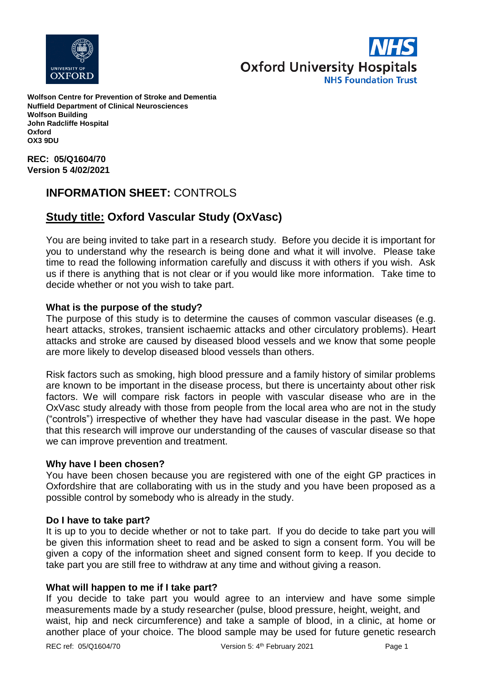



**Wolfson Centre for Prevention of Stroke and Dementia Nuffield Department of Clinical Neurosciences Wolfson Building John Radcliffe Hospital Oxford OX3 9DU**

**REC: 05/Q1604/70 Version 5 4/02/2021**

# **INFORMATION SHEET:** CONTROLS

# **Study title: Oxford Vascular Study (OxVasc)**

You are being invited to take part in a research study. Before you decide it is important for you to understand why the research is being done and what it will involve. Please take time to read the following information carefully and discuss it with others if you wish. Ask us if there is anything that is not clear or if you would like more information. Take time to decide whether or not you wish to take part.

# **What is the purpose of the study?**

The purpose of this study is to determine the causes of common vascular diseases (e.g. heart attacks, strokes, transient ischaemic attacks and other circulatory problems). Heart attacks and stroke are caused by diseased blood vessels and we know that some people are more likely to develop diseased blood vessels than others.

Risk factors such as smoking, high blood pressure and a family history of similar problems are known to be important in the disease process, but there is uncertainty about other risk factors. We will compare risk factors in people with vascular disease who are in the OxVasc study already with those from people from the local area who are not in the study ("controls") irrespective of whether they have had vascular disease in the past. We hope that this research will improve our understanding of the causes of vascular disease so that we can improve prevention and treatment.

#### **Why have I been chosen?**

You have been chosen because you are registered with one of the eight GP practices in Oxfordshire that are collaborating with us in the study and you have been proposed as a possible control by somebody who is already in the study.

#### **Do I have to take part?**

It is up to you to decide whether or not to take part. If you do decide to take part you will be given this information sheet to read and be asked to sign a consent form. You will be given a copy of the information sheet and signed consent form to keep. If you decide to take part you are still free to withdraw at any time and without giving a reason.

#### **What will happen to me if I take part?**

If you decide to take part you would agree to an interview and have some simple measurements made by a study researcher (pulse, blood pressure, height, weight, and waist, hip and neck circumference) and take a sample of blood, in a clinic, at home or another place of your choice. The blood sample may be used for future genetic research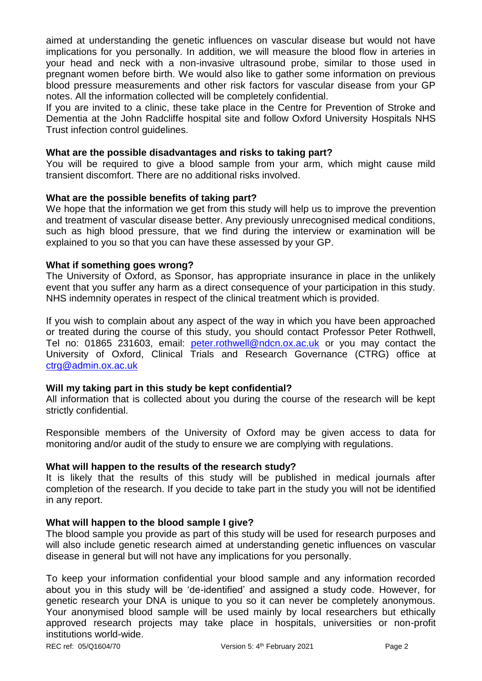aimed at understanding the genetic influences on vascular disease but would not have implications for you personally. In addition, we will measure the blood flow in arteries in your head and neck with a non-invasive ultrasound probe, similar to those used in pregnant women before birth. We would also like to gather some information on previous blood pressure measurements and other risk factors for vascular disease from your GP notes. All the information collected will be completely confidential.

If you are invited to a clinic, these take place in the Centre for Prevention of Stroke and Dementia at the John Radcliffe hospital site and follow Oxford University Hospitals NHS Trust infection control guidelines.

### **What are the possible disadvantages and risks to taking part?**

You will be required to give a blood sample from your arm, which might cause mild transient discomfort. There are no additional risks involved.

## **What are the possible benefits of taking part?**

We hope that the information we get from this study will help us to improve the prevention and treatment of vascular disease better. Any previously unrecognised medical conditions, such as high blood pressure, that we find during the interview or examination will be explained to you so that you can have these assessed by your GP.

## **What if something goes wrong?**

The University of Oxford, as Sponsor, has appropriate insurance in place in the unlikely event that you suffer any harm as a direct consequence of your participation in this study. NHS indemnity operates in respect of the clinical treatment which is provided.

If you wish to complain about any aspect of the way in which you have been approached or treated during the course of this study, you should contact Professor Peter Rothwell, Tel no: 01865 231603, email: [peter.rothwell@ndcn.ox.ac.uk](mailto:peter.rothwell@ndcn.ox.ac.uk) or you may contact the University of Oxford, Clinical Trials and Research Governance (CTRG) office at [ctrg@admin.ox.ac.uk](mailto:ctrg@admin.ox.ac.uk)

# **Will my taking part in this study be kept confidential?**

All information that is collected about you during the course of the research will be kept strictly confidential.

Responsible members of the University of Oxford may be given access to data for monitoring and/or audit of the study to ensure we are complying with regulations.

#### **What will happen to the results of the research study?**

It is likely that the results of this study will be published in medical journals after completion of the research. If you decide to take part in the study you will not be identified in any report.

# **What will happen to the blood sample I give?**

The blood sample you provide as part of this study will be used for research purposes and will also include genetic research aimed at understanding genetic influences on vascular disease in general but will not have any implications for you personally.

To keep your information confidential your blood sample and any information recorded about you in this study will be 'de-identified' and assigned a study code. However, for genetic research your DNA is unique to you so it can never be completely anonymous. Your anonymised blood sample will be used mainly by local researchers but ethically approved research projects may take place in hospitals, universities or non-profit institutions world-wide.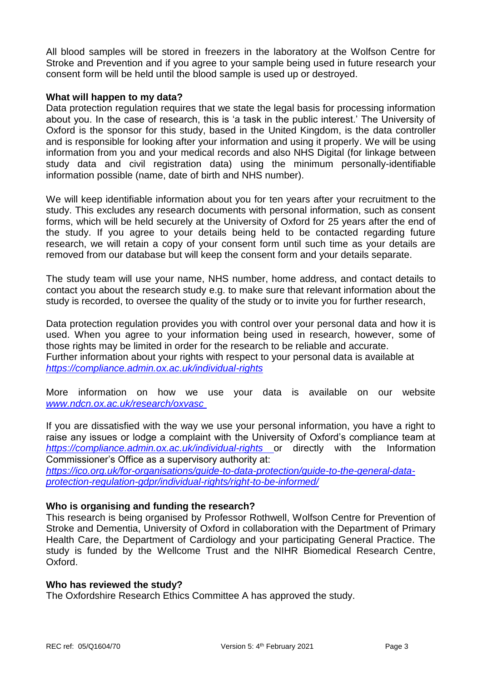All blood samples will be stored in freezers in the laboratory at the Wolfson Centre for Stroke and Prevention and if you agree to your sample being used in future research your consent form will be held until the blood sample is used up or destroyed.

## **What will happen to my data?**

Data protection regulation requires that we state the legal basis for processing information about you. In the case of research, this is 'a task in the public interest.' The University of Oxford is the sponsor for this study, based in the United Kingdom, is the data controller and is responsible for looking after your information and using it properly. We will be using information from you and your medical records and also NHS Digital (for linkage between study data and civil registration data) using the minimum personally-identifiable information possible (name, date of birth and NHS number).

We will keep identifiable information about you for ten years after your recruitment to the study. This excludes any research documents with personal information, such as consent forms, which will be held securely at the University of Oxford for 25 years after the end of the study. If you agree to your details being held to be contacted regarding future research, we will retain a copy of your consent form until such time as your details are removed from our database but will keep the consent form and your details separate.

The study team will use your name, NHS number, home address, and contact details to contact you about the research study e.g. to make sure that relevant information about the study is recorded, to oversee the quality of the study or to invite you for further research,

Data protection regulation provides you with control over your personal data and how it is used. When you agree to your information being used in research, however, some of those rights may be limited in order for the research to be reliable and accurate. Further information about your rights with respect to your personal data is available at *https://compliance.admin.ox.ac.uk/individual-rights*

More information on how we use your data is available on our website *[www.ndcn.ox.ac.uk/research/oxvasc](../www.ndcn.ox.ac.uk/research/oxvasc )*

If you are dissatisfied with the way we use your personal information, you have a right to raise any issues or lodge a complaint with the University of Oxford's compliance team at *<https://compliance.admin.ox.ac.uk/individual-rights>* or directly with the Information Commissioner's Office as a supervisory authority at:

*[https://ico.org.uk/for-organisations/guide-to-data-protection/guide-to-the-general-data](https://ico.org.uk/for-organisations/guide-to-data-protection/guide-to-the-general-data-protection-regulation-gdpr/individual-rights/right-to-be-informed/)[protection-regulation-gdpr/individual-rights/right-to-be-informed/](https://ico.org.uk/for-organisations/guide-to-data-protection/guide-to-the-general-data-protection-regulation-gdpr/individual-rights/right-to-be-informed/)*

# **Who is organising and funding the research?**

This research is being organised by Professor Rothwell, Wolfson Centre for Prevention of Stroke and Dementia, University of Oxford in collaboration with the Department of Primary Health Care, the Department of Cardiology and your participating General Practice. The study is funded by the Wellcome Trust and the NIHR Biomedical Research Centre, Oxford.

#### **Who has reviewed the study?**

The Oxfordshire Research Ethics Committee A has approved the study.